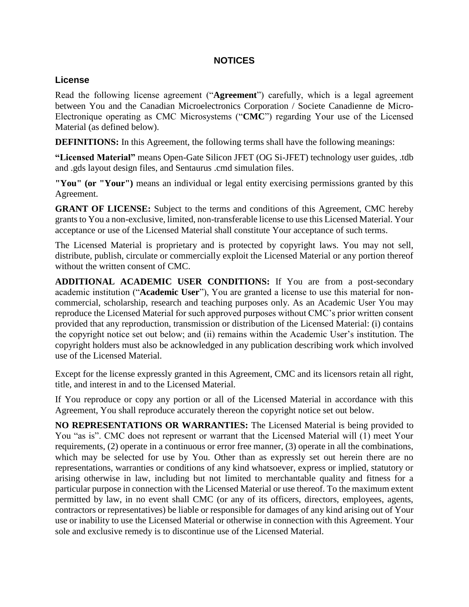## **NOTICES**

## **License**

Read the following license agreement ("**Agreement**") carefully, which is a legal agreement between You and the Canadian Microelectronics Corporation / Societe Canadienne de Micro-Electronique operating as CMC Microsystems ("**CMC**") regarding Your use of the Licensed Material (as defined below).

**DEFINITIONS:** In this Agreement, the following terms shall have the following meanings:

**"Licensed Material"** means Open-Gate Silicon JFET (OG Si-JFET) technology user guides, .tdb and .gds layout design files, and Sentaurus .cmd simulation files.

**"You" (or "Your")** means an individual or legal entity exercising permissions granted by this Agreement.

**GRANT OF LICENSE:** Subject to the terms and conditions of this Agreement, CMC hereby grants to You a non-exclusive, limited, non-transferable license to use this Licensed Material. Your acceptance or use of the Licensed Material shall constitute Your acceptance of such terms.

The Licensed Material is proprietary and is protected by copyright laws. You may not sell, distribute, publish, circulate or commercially exploit the Licensed Material or any portion thereof without the written consent of CMC.

**ADDITIONAL ACADEMIC USER CONDITIONS:** If You are from a post-secondary academic institution ("**Academic User**"), You are granted a license to use this material for noncommercial, scholarship, research and teaching purposes only. As an Academic User You may reproduce the Licensed Material for such approved purposes without CMC's prior written consent provided that any reproduction, transmission or distribution of the Licensed Material: (i) contains the copyright notice set out below; and (ii) remains within the Academic User's institution. The copyright holders must also be acknowledged in any publication describing work which involved use of the Licensed Material.

Except for the license expressly granted in this Agreement, CMC and its licensors retain all right, title, and interest in and to the Licensed Material.

If You reproduce or copy any portion or all of the Licensed Material in accordance with this Agreement, You shall reproduce accurately thereon the copyright notice set out below.

**NO REPRESENTATIONS OR WARRANTIES:** The Licensed Material is being provided to You "as is". CMC does not represent or warrant that the Licensed Material will (1) meet Your requirements, (2) operate in a continuous or error free manner, (3) operate in all the combinations, which may be selected for use by You. Other than as expressly set out herein there are no representations, warranties or conditions of any kind whatsoever, express or implied, statutory or arising otherwise in law, including but not limited to merchantable quality and fitness for a particular purpose in connection with the Licensed Material or use thereof. To the maximum extent permitted by law, in no event shall CMC (or any of its officers, directors, employees, agents, contractors or representatives) be liable or responsible for damages of any kind arising out of Your use or inability to use the Licensed Material or otherwise in connection with this Agreement. Your sole and exclusive remedy is to discontinue use of the Licensed Material.